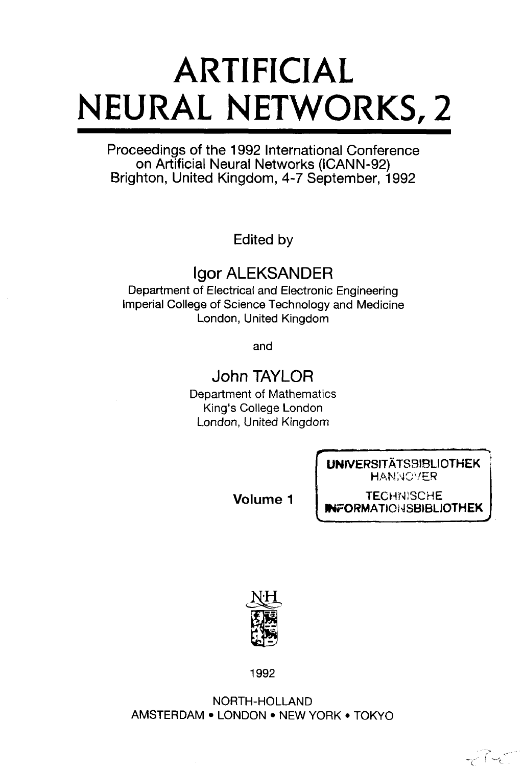# **ARTIFICIAL NEURAL NETWORKS, 2**

Proceedings of the 1992 International Conference on Artificial Neural Networks (ICANN-92) Brighton, United Kingdom, 4-7 September, 1992

Edited by

# Igor ALEKSANDER

Department of Electrical and Electronic Engineering Imperial College of Science Technology and Medicine London, United Kingdom

and

## John TAYLOR

Department of Mathematics King's College London London, United Kingdom

> UNIVERSITATS3IBUOTHEK **HANNOVER**

**Volume 1**

**TECHNISCHE IFORMATIONSBIBLIOTHEK** 

ناپ سے آپ



1992

NORTH-HOLLAND AMSTERDAM • LONDON • NEW YORK • TOKYO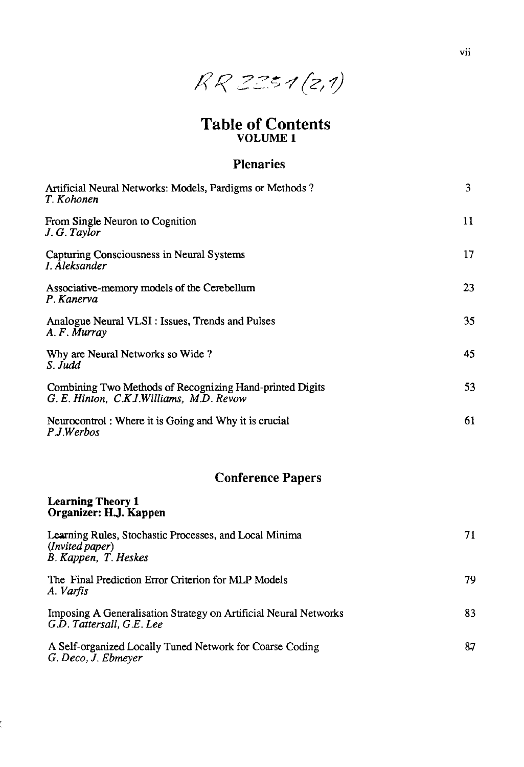

## Table of Contents VOLUME 1

### Plenaries

| Artificial Neural Networks: Models, Pardigms or Methods?<br>T. Kohonen                               | 3  |
|------------------------------------------------------------------------------------------------------|----|
| From Single Neuron to Cognition<br>J. G. Taylor                                                      | 11 |
| Capturing Consciousness in Neural Systems<br>I. Aleksander                                           | 17 |
| Associative-memory models of the Cerebellum<br>P. Kanerva                                            | 23 |
| Analogue Neural VLSI: Issues, Trends and Pulses<br>A. F. Murray                                      | 35 |
| Why are Neural Networks so Wide?<br>S. Judd                                                          | 45 |
| Combining Two Methods of Recognizing Hand-printed Digits<br>G. E. Hinton, C.K.J.Williams, M.D. Revow | 53 |
| Neurocontrol: Where it is Going and Why it is crucial<br>P.J.Werbos                                  | 61 |
| <b>Conference Papers</b>                                                                             |    |
| <b>Learning Theory 1</b><br>Organizer: H.J. Kappen                                                   |    |
| Learning Rules, Stochastic Processes, and Local Minima<br>(Invited paper)<br>B. Kappen, T. Heskes    | 71 |
| The Final Prediction Error Criterion for MLP Models<br>A. Varfis                                     | 79 |
| Imposing A Generalisation Strategy on Artificial Neural Networks<br>G.D. Tattersall, G.E. Lee        | 83 |
| A Self-organized Locally Tuned Network for Coarse Coding<br>G. Deco, J. Ebmeyer                      | 87 |

 $\ddot{\phantom{0}}$ 

vii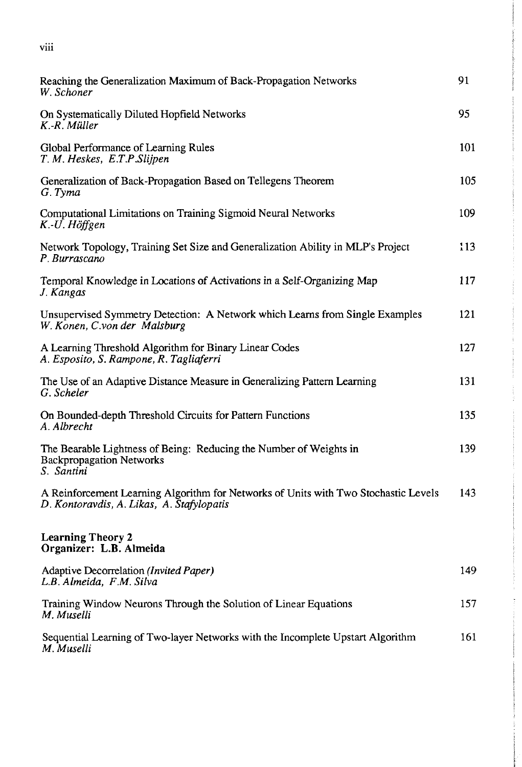|    |    | I  |
|----|----|----|
|    |    |    |
| u. | ۰. | ۰. |

| Reaching the Generalization Maximum of Back-Propagation Networks<br>W. Schoner                                                   | 91  |
|----------------------------------------------------------------------------------------------------------------------------------|-----|
| On Systematically Diluted Hopfield Networks<br>K.-R. Müller                                                                      | 95  |
| Global Performance of Learning Rules<br>T. M. Heskes, E.T.P.Slijpen                                                              | 101 |
| Generalization of Back-Propagation Based on Tellegens Theorem<br>G. Tyma                                                         | 105 |
| Computational Limitations on Training Sigmoid Neural Networks<br>K.-U. Höffgen                                                   | 109 |
| Network Topology, Training Set Size and Generalization Ability in MLP's Project<br>P. Burrascano                                 | 113 |
| Temporal Knowledge in Locations of Activations in a Self-Organizing Map<br>J. Kangas                                             | 117 |
| Unsupervised Symmetry Detection: A Network which Learns from Single Examples<br>W. Konen, C.von der Malsburg                     | 121 |
| A Learning Threshold Algorithm for Binary Linear Codes<br>A. Esposito, S. Rampone, R. Tagliaferri                                | 127 |
| The Use of an Adaptive Distance Measure in Generalizing Pattern Learning<br>G. Scheler                                           | 131 |
| On Bounded-depth Threshold Circuits for Pattern Functions<br>A. Albrecht                                                         | 135 |
| The Bearable Lightness of Being: Reducing the Number of Weights in<br><b>Backpropagation Networks</b><br>S. Santini              | 139 |
| A Reinforcement Learning Algorithm for Networks of Units with Two Stochastic Levels<br>D. Kontoravdis, A. Likas, A. Stafylopatis | 143 |
| <b>Learning Theory 2</b><br>Organizer: L.B. Almeida                                                                              |     |
| Adaptive Decorrelation (Invited Paper)<br>L.B. Almeida, F.M. Silva                                                               | 149 |
| Training Window Neurons Through the Solution of Linear Equations<br>M. Muselli                                                   | 157 |
| Sequential Learning of Two-layer Networks with the Incomplete Upstart Algorithm<br>M. Muselli                                    | 161 |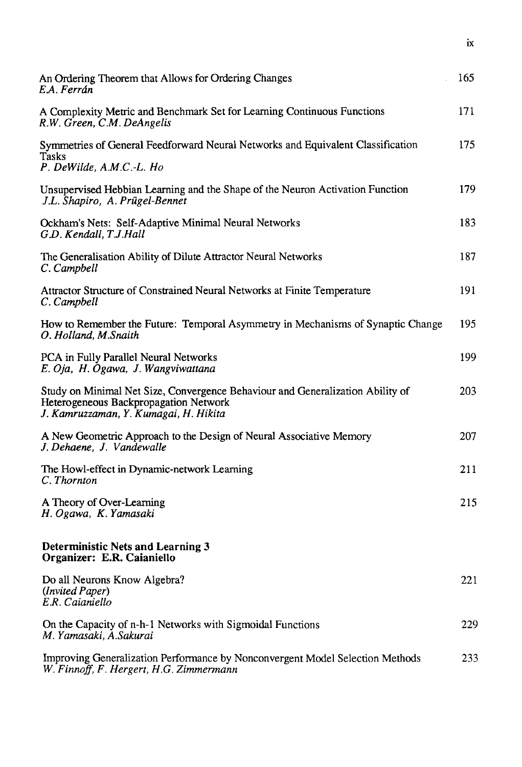| An Ordering Theorem that Allows for Ordering Changes<br>E.A. Ferrán                                                                                              | 165 |
|------------------------------------------------------------------------------------------------------------------------------------------------------------------|-----|
| A Complexity Metric and Benchmark Set for Learning Continuous Functions<br>R.W. Green, C.M. DeAngelis                                                            | 171 |
| Symmetries of General Feedforward Neural Networks and Equivalent Classification<br>Tasks<br>P. DeWilde, A.M.C.-L. Ho                                             | 175 |
| Unsupervised Hebbian Learning and the Shape of the Neuron Activation Function<br>J.L. Shapiro, A. Prügel-Bennet                                                  | 179 |
| Ockham's Nets: Self-Adaptive Minimal Neural Networks<br>G.D. Kendall, T.J.Hall                                                                                   | 183 |
| The Generalisation Ability of Dilute Attractor Neural Networks<br>C. Campbell                                                                                    | 187 |
| Attractor Structure of Constrained Neural Networks at Finite Temperature<br>C. Campbell                                                                          | 191 |
| How to Remember the Future: Temporal Asymmetry in Mechanisms of Synaptic Change<br>O. Holland, M.Snaith                                                          | 195 |
| PCA in Fully Parallel Neural Networks<br>E. Oja, H. Ogawa, J. Wangviwattana                                                                                      | 199 |
| Study on Minimal Net Size, Convergence Behaviour and Generalization Ability of<br>Heterogeneous Backpropagation Network<br>J. Kamruzzaman, Y. Kumagai, H. Hikita | 203 |
| A New Geometric Approach to the Design of Neural Associative Memory<br>J. Dehaene, J. Vandewalle                                                                 | 207 |
| The Howl-effect in Dynamic-network Learning<br>C. Thornton                                                                                                       | 211 |
| A Theory of Over-Learning<br>H. Ogawa, K. Yamasaki                                                                                                               | 215 |
| <b>Deterministic Nets and Learning 3</b><br>Organizer: E.R. Caianiello                                                                                           |     |
| Do all Neurons Know Algebra?<br>(Invited Paper)<br>E.R. Caianiello                                                                                               | 221 |
| On the Capacity of n-h-1 Networks with Sigmoidal Functions<br>M. Yamasaki, A.Sakurai                                                                             | 229 |
| Improving Generalization Performance by Nonconvergent Model Selection Methods<br>W. Finnoff, F. Hergert, H.G. Zimmermann                                         | 233 |

 $\mathbf{\dot{x}}$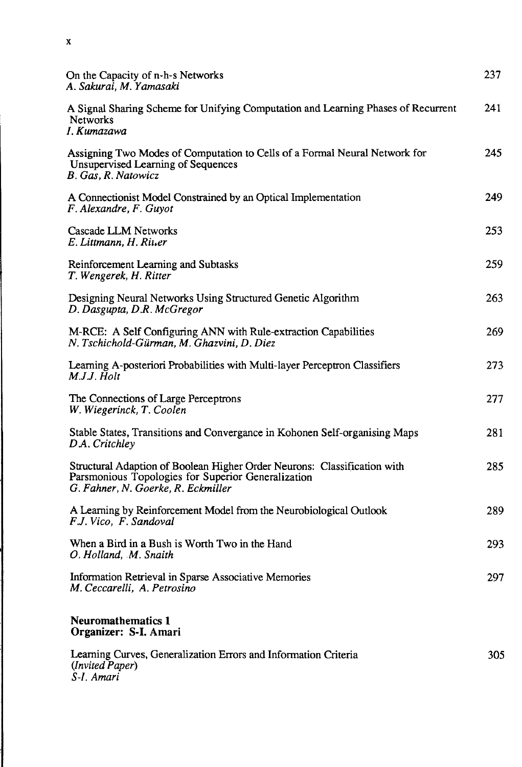| On the Capacity of n-h-s Networks<br>A. Sakurai, M. Yamasaki                                                                                                         | 237 |
|----------------------------------------------------------------------------------------------------------------------------------------------------------------------|-----|
| A Signal Sharing Scheme for Unifying Computation and Learning Phases of Recurrent<br><b>Networks</b><br>I. Kumazawa                                                  | 241 |
| Assigning Two Modes of Computation to Cells of a Formal Neural Network for<br><b>Unsupervised Learning of Sequences</b><br>B. Gas, R. Natowicz                       | 245 |
| A Connectionist Model Constrained by an Optical Implementation<br>F. Alexandre, F. Guyot                                                                             | 249 |
| Cascade LLM Networks<br>E. Littmann, H. Riuer                                                                                                                        | 253 |
| Reinforcement Learning and Subtasks<br>T. Wengerek, H. Ritter                                                                                                        | 259 |
| Designing Neural Networks Using Structured Genetic Algorithm<br>D. Dasgupta, D.R. McGregor                                                                           | 263 |
| M-RCE: A Self Configuring ANN with Rule-extraction Capabilities<br>N. Tschichold-Gürman, M. Ghazvini, D. Diez                                                        | 269 |
| Learning A-posteriori Probabilities with Multi-layer Perceptron Classifiers<br>M.J.J. Holt                                                                           | 273 |
| The Connections of Large Perceptrons<br>W. Wiegerinck, T. Coolen                                                                                                     | 277 |
| Stable States, Transitions and Convergance in Kohonen Self-organising Maps<br>D.A. Critchley                                                                         | 281 |
| Structural Adaption of Boolean Higher Order Neurons: Classification with<br>Parsmonious Topologies for Superior Generalization<br>G. Fahner, N. Goerke, R. Eckmiller | 285 |
| A Learning by Reinforcement Model from the Neurobiological Outlook<br>F.J. Vico, F. Sandoval                                                                         | 289 |
| When a Bird in a Bush is Worth Two in the Hand<br>O. Holland, M. Snaith                                                                                              | 293 |
| Information Retrieval in Sparse Associative Memories<br>M. Ceccarelli, A. Petrosino                                                                                  | 297 |
| <b>Neuromathematics 1</b><br>Organizer: S-I. Amari                                                                                                                   |     |
| Learning Curves, Generalization Errors and Information Criteria<br>(Invited Paper)<br>S-I. Amari                                                                     | 305 |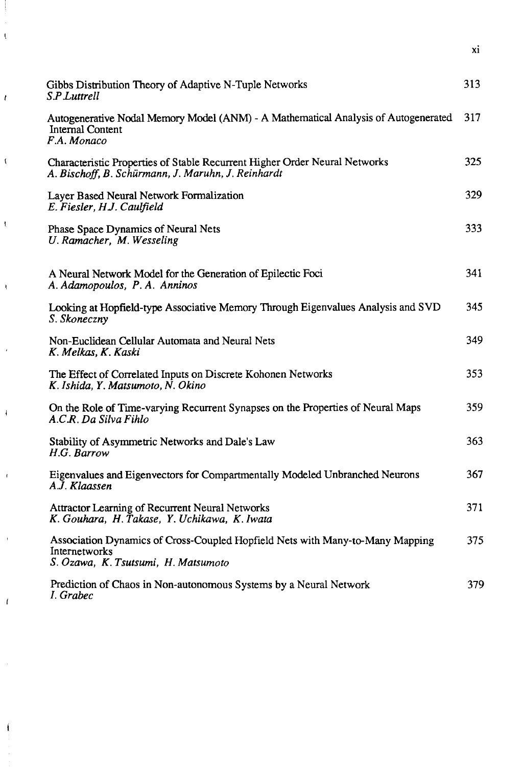| Gibbs Distribution Theory of Adaptive N-Tuple Networks<br>S.P.Luttrell                                                                | 313  |
|---------------------------------------------------------------------------------------------------------------------------------------|------|
| Autogenerative Nodal Memory Model (ANM) - A Mathematical Analysis of Autogenerated<br>Internal Content<br>F.A. Monaco                 | 317  |
| Characteristic Properties of Stable Recurrent Higher Order Neural Networks<br>A. Bischoff, B. Schürmann, J. Maruhn, J. Reinhardt      | 325  |
| Layer Based Neural Network Formalization<br>E. Fiesler, H.J. Caulfield                                                                | 329  |
| Phase Space Dynamics of Neural Nets<br>U. Ramacher, M. Wesseling                                                                      | 333  |
| A Neural Network Model for the Generation of Epilectic Foci<br>A. Adamopoulos, P. A. Anninos                                          | 341  |
| Looking at Hopfield-type Associative Memory Through Eigenvalues Analysis and SVD<br>S. Skoneczny                                      | 345. |
| Non-Euclidean Cellular Automata and Neural Nets<br>K. Melkas, K. Kaski                                                                | 349  |
| The Effect of Correlated Inputs on Discrete Kohonen Networks<br>K. Ishida, Y. Matsumoto, N. Okino                                     | 353  |
| On the Role of Time-varying Recurrent Synapses on the Properties of Neural Maps<br>A.C.R. Da Silva Fihlo                              | 359  |
| Stability of Asymmetric Networks and Dale's Law<br>H.G. Barrow                                                                        | 363  |
| Eigenvalues and Eigenvectors for Compartmentally Modeled Unbranched Neurons<br>A.J. Klaassen                                          | 367  |
| <b>Attractor Learning of Recurrent Neural Networks</b><br>K. Gouhara, H. Takase, Y. Uchikawa, K. Iwata                                | 371  |
| Association Dynamics of Cross-Coupled Hopfield Nets with Many-to-Many Mapping<br>Internetworks<br>S. Ozawa, K. Tsutsumi, H. Matsumoto | 375  |
| Prediction of Chaos in Non-autonomous Systems by a Neural Network<br>I. Grabec                                                        | 379  |

 $\bar{\bar{\xi}}$ 

 $\epsilon$ 

 $\overline{\mathbf{R}}$ 

 $\bar{\mathbf{t}}$ 

 $\bar{t}$ 

ï

 $\overline{1}$ 

 $\overline{1}$ 

 $\bar{1}$ 

 $\overline{1}$ 

 $\overline{\mathbf{I}}$ 

**XI**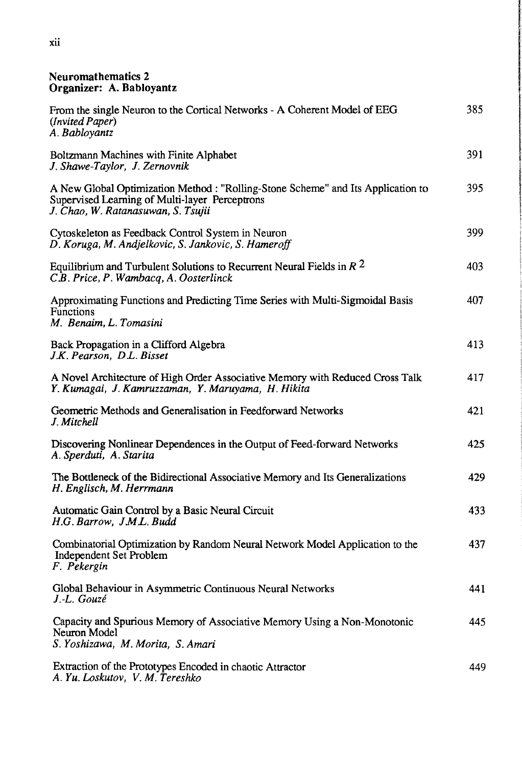#### Neuromathematics 2 Organizer: A. Babloyantz

| From the single Neuron to the Cortical Networks - A Coherent Model of EEG<br>(Invited Paper)<br>A. Babloyantz                                                            | 385. |
|--------------------------------------------------------------------------------------------------------------------------------------------------------------------------|------|
| Boltzmann Machines with Finite Alphabet<br>J. Shawe-Taylor, J. Zernovnik                                                                                                 | 391  |
| A New Global Optimization Method : "Rolling-Stone Scheme" and Its Application to<br>Supervised Learning of Multi-layer Perceptrons<br>J. Chao, W. Ratanasuwan, S. Tsujii | 395  |
| Cytoskeleton as Feedback Control System in Neuron<br>D. Koruga, M. Andjelkovic, S. Jankovic, S. Hameroff                                                                 | 399  |
| Equilibrium and Turbulent Solutions to Recurrent Neural Fields in $R2$<br>C.B. Price, P. Wambacq, A. Oosterlinck                                                         | 403  |
| Approximating Functions and Predicting Time Series with Multi-Sigmoidal Basis<br><b>Functions</b><br>M. Benaim, L. Tomasini                                              | 407  |
| Back Propagation in a Clifford Algebra<br>J.K. Pearson, D.L. Bisset                                                                                                      | 413  |
| A Novel Architecture of High Order Associative Memory with Reduced Cross Talk<br>Y. Kumagai, J. Kamruzzaman, Y. Maruyama, H. Hikita                                      | 417  |
| Geometric Methods and Generalisation in Feedforward Networks<br>J. Mitchell                                                                                              | 421  |
| Discovering Nonlinear Dependences in the Output of Feed-forward Networks<br>A. Sperduti, A. Starita                                                                      | 425  |
| The Bottleneck of the Bidirectional Associative Memory and Its Generalizations<br>H. Englisch, M. Herrmann                                                               | 429  |
| Automatic Gain Control by a Basic Neural Circuit<br>H.G. Barrow, J.M.L. Budd                                                                                             | 433  |
| Combinatorial Optimization by Random Neural Network Model Application to the<br>Independent Set Problem<br>F. Pekergin                                                   | 437  |
| Global Behaviour in Asymmetric Continuous Neural Networks<br>J.-L. Gouzé                                                                                                 | 441  |
| Capacity and Spurious Memory of Associative Memory Using a Non-Monotonic<br>Neuron Model<br>S. Yoshizawa, M. Morita, S. Amari                                            | 445  |
| Extraction of the Prototypes Encoded in chaotic Attractor<br>A. Yu. Loskutov, V. M. Tereshko                                                                             | 449  |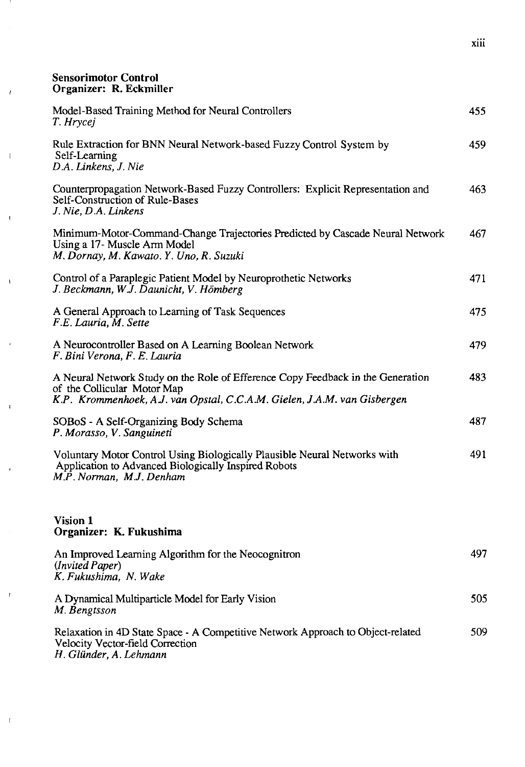#### **Sensorimotor Control Organizer: R. Eckmiller**

- 11

 $\bar{t}$ 

 $\bar{\chi}$ 

 $\bar{\rm t}$ 

 $\bar{\mathbf{t}}$ 

 $\hat{r}$ 

 $\bar{1}$ 

 $\bar{t}$ 

 $\bar{t}$ 

 $\dot{t}$ 

| Model-Based Training Method for Neural Controllers<br>T. Hrycej                                                                                                                            | 455  |
|--------------------------------------------------------------------------------------------------------------------------------------------------------------------------------------------|------|
| Rule Extraction for BNN Neural Network-based Fuzzy Control System by<br>Self-Learning<br>D.A. Linkens, J. Nie                                                                              | 459. |
| Counterpropagation Network-Based Fuzzy Controllers: Explicit Representation and<br>Self-Construction of Rule-Bases<br>J. Nie, D.A. Linkens                                                 | 463  |
| Minimum-Motor-Command-Change Trajectories Predicted by Cascade Neural Network<br>Using a 17- Muscle Arm Model<br>M. Dornay, M. Kawato. Y. Uno, R. Suzuki                                   | 467  |
| Control of a Paraplegic Patient Model by Neuroprothetic Networks<br>J. Beckmann, W.J. Daunicht, V. Hömberg                                                                                 | 471  |
| A General Approach to Learning of Task Sequences<br>F.E. Lauria, M. Sette                                                                                                                  | 475  |
| A Neurocontroller Based on A Learning Boolean Network<br>F. Bini Verona, F. E. Lauria                                                                                                      | 479  |
| A Neural Network Study on the Role of Efference Copy Feedback in the Generation<br>of the Collicular Motor Map<br>K.P. Krommenhoek, A.J. van Opstal, C.C.A.M. Gielen, J.A.M. van Gisbergen | 483  |
| SOBoS - A Self-Organizing Body Schema<br>P. Morasso, V. Sanguineti                                                                                                                         | 487  |
| Voluntary Motor Control Using Biologically Plausible Neural Networks with<br>Application to Advanced Biologically Inspired Robots<br>M.P. Norman, M.J. Denham                              | 491  |
| Vision 1<br>Organizer: K. Fukushima                                                                                                                                                        |      |
| An Improved Learning Algorithm for the Neocognitron<br>(Invited Paper)<br>K. Fukushima, N. Wake                                                                                            | 497  |
| A Dynamical Multiparticle Model for Early Vision<br>M. Bengtsson                                                                                                                           | 505  |
| Relaxation in 4D State Space - A Competitive Network Approach to Object-related<br>Velocity Vector-field Correction<br>H. Glünder, A. Lehmann                                              | 509  |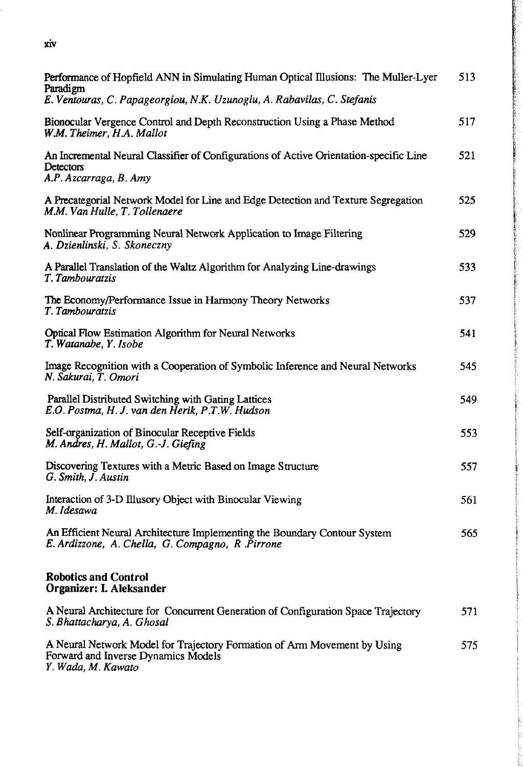| xiv                                                                                                                                                                              |     |
|----------------------------------------------------------------------------------------------------------------------------------------------------------------------------------|-----|
| <b>Performance of Hopfield ANN in Simulating Human Optical Illusions: The Muller-Lyer</b><br>Paradigm<br>E. Ventouras, C. Papageorgiou, N.K. Uzunoglu, A. Rabavilas, C. Stefanis | 513 |
|                                                                                                                                                                                  |     |

| Paradigm<br>E. Ventouras, C. Papageorgiou, N.K. Uzunoglu, A. Rabavilas, C. Stefanis                                                   |     |
|---------------------------------------------------------------------------------------------------------------------------------------|-----|
| Bionocular Vergence Control and Depth Reconstruction Using a Phase Method<br>W.M. Theimer, H.A. Mallot                                | 517 |
| An Incremental Neural Classifier of Configurations of Active Orientation-specific Line<br><b>Detectors</b><br>A.P. Azcarraga, B. Amy  | 521 |
| A Precategorial Network Model for Line and Edge Detection and Texture Segregation<br>M.M. Van Hulle, T. Tollenaere                    | 525 |
| Nonlinear Programming Neural Network Application to Image Filtering<br>A. Dzienlinski, S. Skoneczny                                   | 529 |
| A Parallel Translation of the Waltz Algorithm for Analyzing Line-drawings<br>T. Tambouratzis                                          | 533 |
| The Economy/Performance Issue in Harmony Theory Networks<br>T. Tambouratzis                                                           | 537 |
| Optical Flow Estimation Algorithm for Neural Networks<br>T. Watanabe, Y. Isobe                                                        | 541 |
| Image Recognition with a Cooperation of Symbolic Inference and Neural Networks<br>N. Sakurai, T. Omori                                | 545 |
| Parallel Distributed Switching with Gating Lattices<br>E.O. Postma, H. J. van den Herik, P.T.W. Hudson                                | 549 |
| Self-organization of Binocular Receptive Fields<br>M. Andres, H. Mallot, G.-J. Giefing                                                | 553 |
| Discovering Textures with a Metric Based on Image Structure<br>G. Smith, J. Austin                                                    | 557 |
| Interaction of 3-D Illusory Object with Binocular Viewing<br>M. Idesawa                                                               | 561 |
| An Efficient Neural Architecture Implementing the Boundary Contour System<br>E. Ardizzone, A. Chella, G. Compagno, R. Pirrone         | 565 |
| <b>Robotics and Control</b><br>Organizer: I. Aleksander                                                                               |     |
| A Neural Architecture for Concurrent Generation of Configuration Space Trajectory<br>S. Bhattacharya, A. Ghosal                       | 571 |
| A Neural Network Model for Trajectory Formation of Arm Movement by Using<br>Forward and Inverse Dynamics Models<br>Y. Wada, M. Kawato | 575 |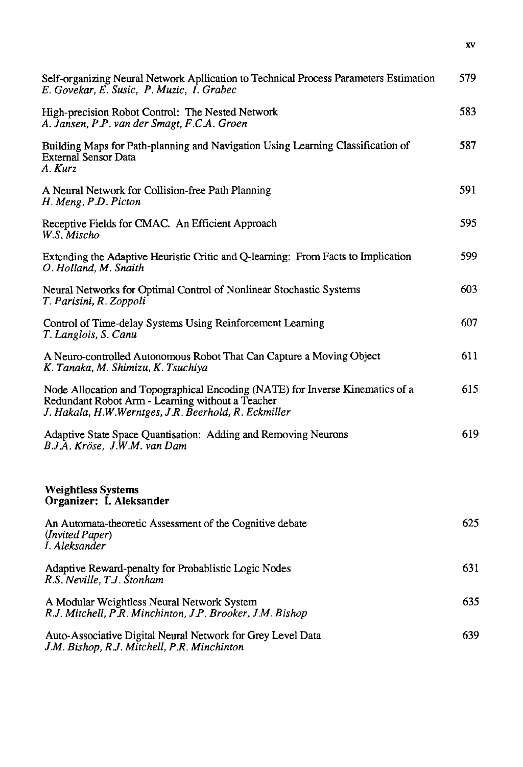| Self-organizing Neural Network Apllication to Technical Process Parameters Estimation<br>E. Govekar, E. Susic, P. Muzic, I. Grabec                                                        | 579. |
|-------------------------------------------------------------------------------------------------------------------------------------------------------------------------------------------|------|
| High-precision Robot Control: The Nested Network                                                                                                                                          | 583  |
| A. Jansen, P.P. van der Smagt, F.C.A. Groen                                                                                                                                               |      |
| Building Maps for Path-planning and Navigation Using Learning Classification of<br><b>External Sensor Data</b><br>A. Kurz                                                                 | 587  |
| A Neural Network for Collision-free Path Planning<br>H. Meng, P.D. Picton                                                                                                                 | 591  |
| Receptive Fields for CMAC. An Efficient Approach<br>W.S. Mischo                                                                                                                           | 595  |
| Extending the Adaptive Heuristic Critic and Q-learning: From Facts to Implication<br>O. Holland, M. Snaith                                                                                | 599  |
| Neural Networks for Optimal Control of Nonlinear Stochastic Systems<br>T. Parisini, R. Zoppoli                                                                                            | 603  |
| Control of Time-delay Systems Using Reinforcement Learning<br>T. Langlois, S. Canu                                                                                                        | 607  |
| A Neuro-controlled Autonomous Robot That Can Capture a Moving Object<br>K. Tanaka, M. Shimizu, K. Tsuchiya                                                                                | 611  |
| Node Allocation and Topographical Encoding (NATE) for Inverse Kinematics of a<br>Redundant Robot Arm - Learning without a Teacher<br>J. Hakala, H.W.Werntges, J.R. Beerhold, R. Eckmiller | 615  |
| Adaptive State Space Quantisation: Adding and Removing Neurons<br>B.J.A. Kröse, J.W.M. van Dam                                                                                            | 619  |
| <b>Weightless Systems</b>                                                                                                                                                                 |      |
| Organizer: I. Aleksander                                                                                                                                                                  |      |
| An Automata-theoretic Assessment of the Cognitive debate<br>(Invited Paper)<br>I. Aleksander                                                                                              | 625  |
| Adaptive Reward-penalty for Probablistic Logic Nodes<br>R.S. Neville, T.J. Stonham                                                                                                        | 631  |
| A Modular Weightless Neural Network System<br>R.J. Mitchell, P.R. Minchinton, J.P. Brooker, J.M. Bishop                                                                                   | 635  |
| Auto-Associative Digital Neural Network for Grey Level Data<br>J.M. Bishop, R.J. Mitchell, P.R. Minchinton                                                                                | 639  |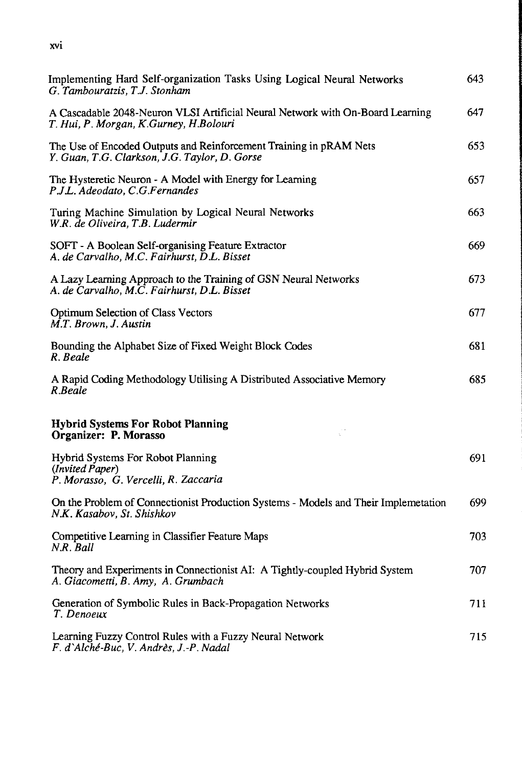**XVI**

| Implementing Hard Self-organization Tasks Using Logical Neural Networks<br>G. Tambouratzis, T.J. Stonham                 | 643  |
|--------------------------------------------------------------------------------------------------------------------------|------|
| A Cascadable 2048-Neuron VLSI Artificial Neural Network with On-Board Learning<br>T. Hui, P. Morgan, K.Gurney, H.Bolouri | 647  |
| The Use of Encoded Outputs and Reinforcement Training in pRAM Nets<br>Y. Guan, T.G. Clarkson, J.G. Taylor, D. Gorse      | 653  |
| The Hysteretic Neuron - A Model with Energy for Learning<br>P.J.L. Adeodato, C.G.Fernandes                               | 657  |
| Turing Machine Simulation by Logical Neural Networks<br>W.R. de Oliveira, T.B. Ludermir                                  | 663  |
| SOFT - A Boolean Self-organising Feature Extractor<br>A. de Carvalho, M.C. Fairhurst, D.L. Bisset                        | 669  |
| A Lazy Learning Approach to the Training of GSN Neural Networks<br>A. de Carvalho, M.C. Fairhurst, D.L. Bisset           | 673  |
| <b>Optimum Selection of Class Vectors</b><br>M.T. Brown, J. Austin                                                       | 677  |
| Bounding the Alphabet Size of Fixed Weight Block Codes<br>R. Beale                                                       | 681  |
| A Rapid Coding Methodology Utilising A Distributed Associative Memory<br>R.Beale                                         | 685  |
| <b>Hybrid Systems For Robot Planning</b><br>Organizer: P. Morasso                                                        |      |
| Hybrid Systems For Robot Planning<br>(Invited Paper)<br>P. Morasso, G. Vercelli, R. Zaccaria                             | 691  |
| On the Problem of Connectionist Production Systems - Models and Their Implemetation<br>N.K. Kasabov, St. Shishkov        | 699  |
| Competitive Learning in Classifier Feature Maps<br>N.R. Ball                                                             | 703  |
| Theory and Experiments in Connectionist AI: A Tightly-coupled Hybrid System<br>A. Giacometti, B. Amy, A. Grumbach        | 707. |
| Generation of Symbolic Rules in Back-Propagation Networks<br>T. Denoeux                                                  | 711  |
| Learning Fuzzy Control Rules with a Fuzzy Neural Network<br>F. d'Alché-Buc, V. Andrès, J.-P. Nadal                       | 715  |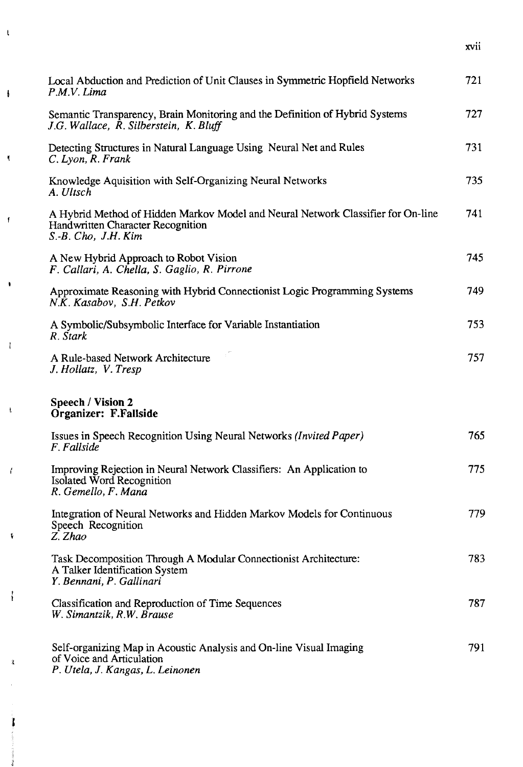| Local Abduction and Prediction of Unit Clauses in Symmetric Hopfield Networks<br>P.M.V. Lima                                                 | 721  |
|----------------------------------------------------------------------------------------------------------------------------------------------|------|
| Semantic Transparency, Brain Monitoring and the Definition of Hybrid Systems<br>J.G. Wallace, R. Silberstein, K. Bluff                       | 727  |
| Detecting Structures in Natural Language Using Neural Net and Rules<br>C. Lyon, R. Frank                                                     | 731  |
| Knowledge Aquisition with Self-Organizing Neural Networks<br>A. Ultsch                                                                       | 735  |
| A Hybrid Method of Hidden Markov Model and Neural Network Classifier for On-line<br>Handwritten Character Recognition<br>S.-B. Cho, J.H. Kim | 741  |
| A New Hybrid Approach to Robot Vision<br>F. Callari, A. Chella, S. Gaglio, R. Pirrone                                                        | 745  |
| Approximate Reasoning with Hybrid Connectionist Logic Programming Systems<br>N.K. Kasabov, S.H. Petkov                                       | 749. |
| A Symbolic/Subsymbolic Interface for Variable Instantiation<br>R. Stark                                                                      | 753. |
| A Rule-based Network Architecture<br>J. Hollatz, V. Tresp                                                                                    | 757  |
| Speech / Vision 2<br>Organizer: F.Fallside                                                                                                   |      |
| Issues in Speech Recognition Using Neural Networks (Invited Paper)<br>F. Fallside                                                            | 765  |
| Improving Rejection in Neural Network Classifiers: An Application to<br>Isolated Word Recognition<br>R. Gemello, F. Mana                     | 775  |
| Integration of Neural Networks and Hidden Markov Models for Continuous<br>Speech Recognition<br>Z. Zhao                                      | 779  |
| Task Decomposition Through A Modular Connectionist Architecture:<br>A Talker Identification System<br>Y. Bennani, P. Gallinari               | 783  |
| Classification and Reproduction of Time Sequences<br>W. Simantzik, R.W. Brause                                                               | 787  |
| Self-organizing Map in Acoustic Analysis and On-line Visual Imaging<br>of Voice and Articulation<br>P. Utela, J. Kangas, L. Leinonen         | 791  |

 $\bar{\mathrm{t}}$ 

 $\pmb{\mathfrak{t}}$ 

 $\mathbf{r}$ 

 $\ddot{\phantom{0}}$ 

 $\mathfrak{f}$ 

 $\bar{\mathrm{t}}$ 

 $\bar{f}$ 

 $\tilde{\mathbf{v}}$ 

 $\mathfrak{f}$ 

 $\hat{\pmb{\lambda}}$ 

Ĩ

Ŷ

xvii